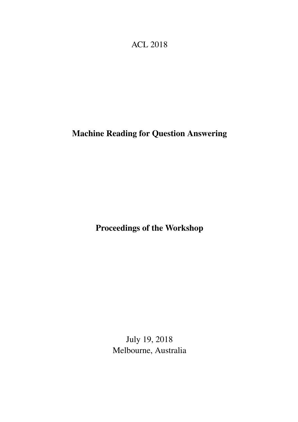# <span id="page-0-0"></span>ACL 2018

# Machine Reading for Question Answering

Proceedings of the Workshop

July 19, 2018 Melbourne, Australia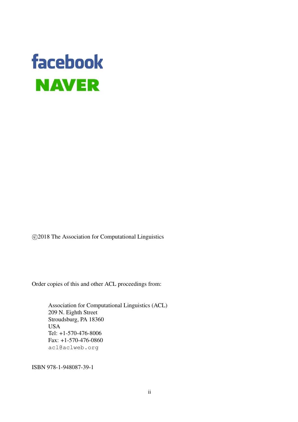# facebook **NAVER**

c 2018 The Association for Computational Linguistics

Order copies of this and other ACL proceedings from:

Association for Computational Linguistics (ACL) 209 N. Eighth Street Stroudsburg, PA 18360 USA Tel: +1-570-476-8006 Fax: +1-570-476-0860 acl@aclweb.org

ISBN 978-1-948087-39-1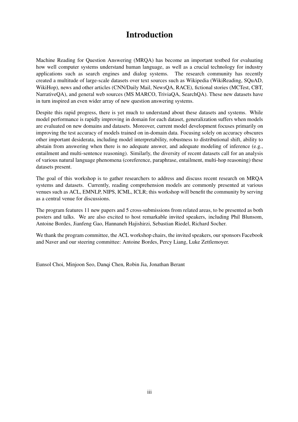## Introduction

Machine Reading for Question Answering (MRQA) has become an important testbed for evaluating how well computer systems understand human language, as well as a crucial technology for industry applications such as search engines and dialog systems. The research community has recently created a multitude of large-scale datasets over text sources such as Wikipedia (WikiReading, SQuAD, WikiHop), news and other articles (CNN/Daily Mail, NewsQA, RACE), fictional stories (MCTest, CBT, NarrativeQA), and general web sources (MS MARCO, TriviaQA, SearchQA). These new datasets have in turn inspired an even wider array of new question answering systems.

Despite this rapid progress, there is yet much to understand about these datasets and systems. While model performance is rapidly improving in domain for each dataset, generalization suffers when models are evaluated on new domains and datasets. Moreover, current model development focuses primarily on improving the test accuracy of models trained on in-domain data. Focusing solely on accuracy obscures other important desiderata, including model interpretability, robustness to distributional shift, ability to abstain from answering when there is no adequate answer, and adequate modeling of inference (e.g., entailment and multi-sentence reasoning). Similarly, the diversity of recent datasets call for an analysis of various natural language phenomena (coreference, paraphrase, entailment, multi-hop reasoning) these datasets present.

The goal of this workshop is to gather researchers to address and discuss recent research on MRQA systems and datasets. Currently, reading comprehension models are commonly presented at various venues such as ACL, EMNLP, NIPS, ICML, ICLR; this workshop will benefit the community by serving as a central venue for discussions.

The program features 11 new papers and 5 cross-submissions from related areas, to be presented as both posters and talks. We are also excited to host remarkable invited speakers, including Phil Blunsom, Antoine Bordes, Jianfeng Gao, Hannaneh Hajishirzi, Sebastian Riedel, Richard Socher.

We thank the program committee, the ACL workshop chairs, the invited speakers, our sponsors Facebook and Naver and our steering committee: Antoine Bordes, Percy Liang, Luke Zettlemoyer.

Eunsol Choi, Minjoon Seo, Danqi Chen, Robin Jia, Jonathan Berant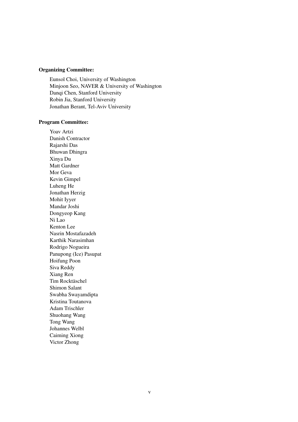#### Organizing Committee:

Eunsol Choi, University of Washington Minjoon Seo, NAVER & University of Washington Danqi Chen, Stanford University Robin Jia, Stanford University Jonathan Berant, Tel-Aviv University

#### Program Committee:

Yoav Artzi Danish Contractor Rajarshi Das Bhuwan Dhingra Xinya Du Matt Gardner Mor Geva Kevin Gimpel Luheng He Jonathan Herzig Mohit Iyyer Mandar Joshi Dongyeop Kang Ni Lao Kenton Lee Nasrin Mostafazadeh Karthik Narasimhan Rodrigo Nogueira Panupong (Ice) Pasupat Hoifung Poon Siva Reddy Xiang Ren Tim Rocktäschel Shimon Salant Swabha Swayamdipta Kristina Toutanova Adam Trischler Shuohang Wang Tong Wang Johannes Welbl Caiming Xiong Victor Zhong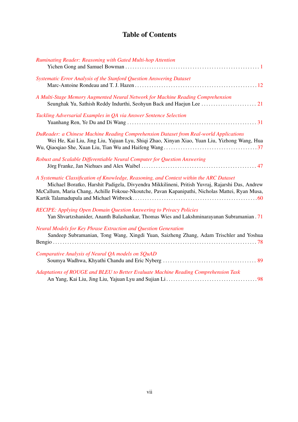## Table of Contents

| <b>Ruminating Reader: Reasoning with Gated Multi-hop Attention</b>                                                                                                                                                                                                                          |
|---------------------------------------------------------------------------------------------------------------------------------------------------------------------------------------------------------------------------------------------------------------------------------------------|
|                                                                                                                                                                                                                                                                                             |
| Systematic Error Analysis of the Stanford Question Answering Dataset                                                                                                                                                                                                                        |
|                                                                                                                                                                                                                                                                                             |
| A Multi-Stage Memory Augmented Neural Network for Machine Reading Comprehension                                                                                                                                                                                                             |
|                                                                                                                                                                                                                                                                                             |
| Tackling Adversarial Examples in QA via Answer Sentence Selection                                                                                                                                                                                                                           |
|                                                                                                                                                                                                                                                                                             |
| DuReader: a Chinese Machine Reading Comprehension Dataset from Real-world Applications<br>Wei He, Kai Liu, Jing Liu, Yajuan Lyu, Shiqi Zhao, Xinyan Xiao, Yuan Liu, Yizhong Wang, Hua                                                                                                       |
| Robust and Scalable Differentiable Neural Computer for Question Answering                                                                                                                                                                                                                   |
| A Systematic Classification of Knowledge, Reasoning, and Context within the ARC Dataset<br>Michael Boratko, Harshit Padigela, Divyendra Mikkilineni, Pritish Yuvraj, Rajarshi Das, Andrew<br>McCallum, Maria Chang, Achille Fokoue-Nkoutche, Pavan Kapanipathi, Nicholas Mattei, Ryan Musa, |
| <b>RECIPE:</b> Applying Open Domain Question Answering to Privacy Policies<br>Yan Shvartzshanider, Ananth Balashankar, Thomas Wies and Lakshminarayanan Subramanian . 71                                                                                                                    |
| Neural Models for Key Phrase Extraction and Question Generation<br>Sandeep Subramanian, Tong Wang, Xingdi Yuan, Saizheng Zhang, Adam Trischler and Yoshua                                                                                                                                   |
| Comparative Analysis of Neural QA models on SQuAD                                                                                                                                                                                                                                           |
| Adaptations of ROUGE and BLEU to Better Evaluate Machine Reading Comprehension Task                                                                                                                                                                                                         |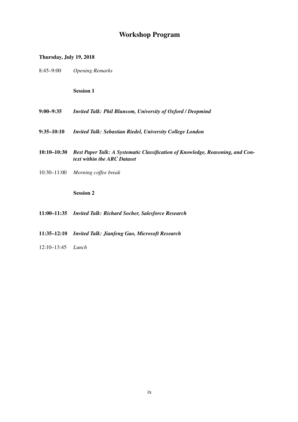## Workshop Program

#### Thursday, July 19, 2018

8:45–9:00 *Opening Remarks*

Session 1

- 9:00–9:35 *Invited Talk: Phil Blunsom, University of Oxford / Deepmind*
- 9:35–10:10 *Invited Talk: Sebastian Riedel, University College London*
- 10:10–10:30 *Best Paper Talk: A Systematic Classification of Knowledge, Reasoning, and Context within the ARC Dataset*
- 10:30–11:00 *Morning coffee break*

Session 2

- 11:00–11:35 *Invited Talk: Richard Socher, Salesforce Research*
- 11:35–12:10 *Invited Talk: Jianfeng Gao, Microsoft Research*
- 12:10–13:45 *Lunch*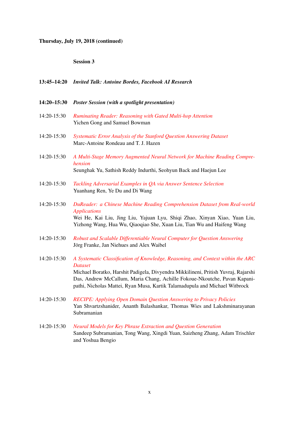## Thursday, July 19, 2018 (continued)

### Session 3

|             | 13:45-14:20 Invited Talk: Antoine Bordes, Facebook AI Research                                                                                                                                                                                                                                                                                      |
|-------------|-----------------------------------------------------------------------------------------------------------------------------------------------------------------------------------------------------------------------------------------------------------------------------------------------------------------------------------------------------|
| 14:20-15:30 | <b>Poster Session (with a spotlight presentation)</b>                                                                                                                                                                                                                                                                                               |
| 14:20-15:30 | Ruminating Reader: Reasoning with Gated Multi-hop Attention<br>Yichen Gong and Samuel Bowman                                                                                                                                                                                                                                                        |
| 14:20-15:30 | Systematic Error Analysis of the Stanford Question Answering Dataset<br>Marc-Antoine Rondeau and T. J. Hazen                                                                                                                                                                                                                                        |
| 14:20-15:30 | A Multi-Stage Memory Augmented Neural Network for Machine Reading Compre-<br>hension<br>Seunghak Yu, Sathish Reddy Indurthi, Seohyun Back and Haejun Lee                                                                                                                                                                                            |
| 14:20-15:30 | Tackling Adversarial Examples in QA via Answer Sentence Selection<br>Yuanhang Ren, Ye Du and Di Wang                                                                                                                                                                                                                                                |
| 14:20-15:30 | DuReader: a Chinese Machine Reading Comprehension Dataset from Real-world<br><b>Applications</b><br>Wei He, Kai Liu, Jing Liu, Yajuan Lyu, Shiqi Zhao, Xinyan Xiao, Yuan Liu,<br>Yizhong Wang, Hua Wu, Qiaoqiao She, Xuan Liu, Tian Wu and Haifeng Wang                                                                                             |
| 14:20-15:30 | Robust and Scalable Differentiable Neural Computer for Question Answering<br>Jörg Franke, Jan Niehues and Alex Waibel                                                                                                                                                                                                                               |
| 14:20-15:30 | A Systematic Classification of Knowledge, Reasoning, and Context within the ARC<br><b>Dataset</b><br>Michael Boratko, Harshit Padigela, Divyendra Mikkilineni, Pritish Yuvraj, Rajarshi<br>Das, Andrew McCallum, Maria Chang, Achille Fokoue-Nkoutche, Pavan Kapani-<br>pathi, Nicholas Mattei, Ryan Musa, Kartik Talamadupula and Michael Witbrock |
| 14:20-15:30 | <b>RECIPE:</b> Applying Open Domain Question Answering to Privacy Policies<br>Yan Shvartzshanider, Ananth Balashankar, Thomas Wies and Lakshminarayanan<br>Subramanian                                                                                                                                                                              |
| 14:20-15:30 | Neural Models for Key Phrase Extraction and Question Generation<br>Sandeep Subramanian, Tong Wang, Xingdi Yuan, Saizheng Zhang, Adam Trischler<br>and Yoshua Bengio                                                                                                                                                                                 |